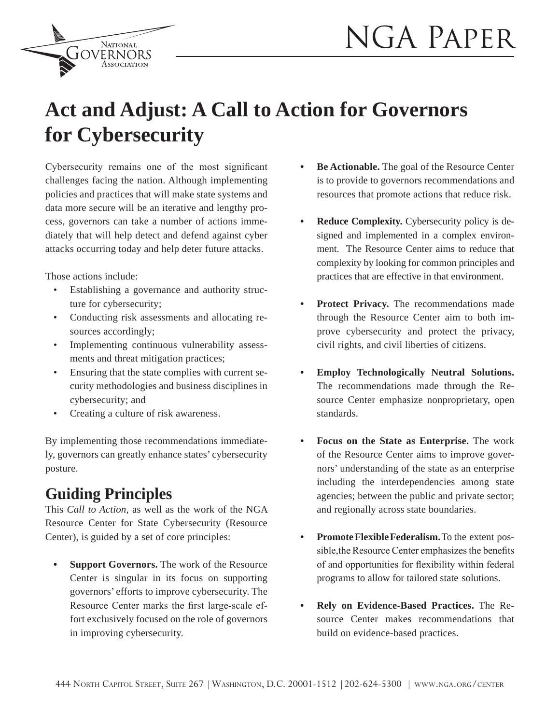

# **Act and Adjust: A Call to Action for Governors for Cybersecurity**

 $Cy$ bersecurity remains one of the most significant challenges facing the nation. Although implementing policies and practices that will make state systems and data more secure will be an iterative and lengthy process, governors can take a number of actions immediately that will help detect and defend against cyber attacks occurring today and help deter future attacks.

**NATIONAL JOVERNORS** 

Those actions include:

- Establishing a governance and authority structure for cybersecurity;
- Conducting risk assessments and allocating resources accordingly;
- Implementing continuous vulnerability assessments and threat mitigation practices;
- Ensuring that the state complies with current security methodologies and business disciplines in cybersecurity; and
- Creating a culture of risk awareness.

By implementing those recommendations immediately, governors can greatly enhance states' cybersecurity posture.

## **Guiding Principles**

This *Call to Action,* as well as the work of the NGA Resource Center for State Cybersecurity (Resource Center), is guided by a set of core principles:

 **Support Governors.** The work of the Resource Center is singular in its focus on supporting governors' efforts to improve cybersecurity. The Resource Center marks the first large-scale effort exclusively focused on the role of governors in improving cybersecurity.

- **Be Actionable.** The goal of the Resource Center is to provide to governors recommendations and resources that promote actions that reduce risk.
- **Reduce Complexity.** Cybersecurity policy is designed and implemented in a complex environment. The Resource Center aims to reduce that complexity by looking for common principles and practices that are effective in that environment.
- **Protect Privacy.** The recommendations made through the Resource Center aim to both improve cybersecurity and protect the privacy, civil rights, and civil liberties of citizens.
- **Employ Technologically Neutral Solutions.** The recommendations made through the Resource Center emphasize nonproprietary, open standards.
- **Focus on the State as Enterprise.** The work of the Resource Center aims to improve governors' understanding of the state as an enterprise including the interdependencies among state agencies; between the public and private sector; and regionally across state boundaries.
- **Promote Flexible Federalism.** To the extent possible, the Resource Center emphasizes the benefits of and opportunities for flexibility within federal programs to allow for tailored state solutions.
- **Rely on Evidence-Based Practices.** The Resource Center makes recommendations that build on evidence-based practices.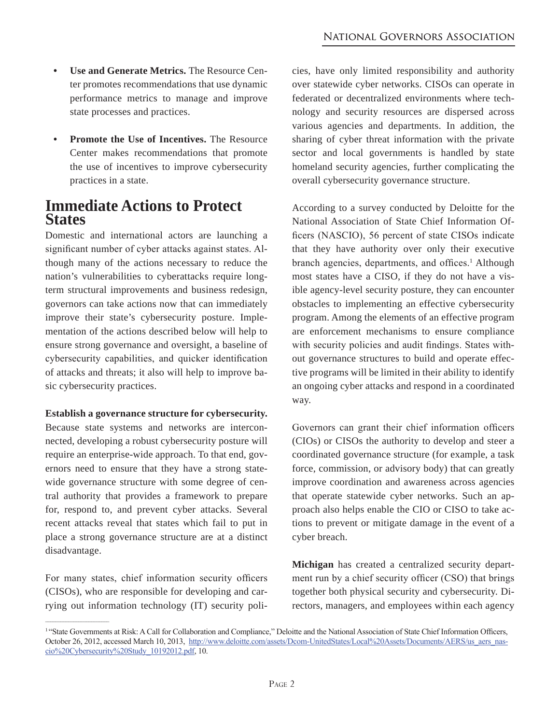- **Use and Generate Metrics.** The Resource Center promotes recommendations that use dynamic performance metrics to manage and improve state processes and practices.
- **Promote the Use of Incentives.** The Resource Center makes recommendations that promote the use of incentives to improve cybersecurity practices in a state.

### **Immediate Actions to Protect States**

Domestic and international actors are launching a significant number of cyber attacks against states. Although many of the actions necessary to reduce the nation's vulnerabilities to cyberattacks require longterm structural improvements and business redesign, governors can take actions now that can immediately improve their state's cybersecurity posture. Implementation of the actions described below will help to ensure strong governance and oversight, a baseline of cybersecurity capabilities, and quicker identification of attacks and threats; it also will help to improve basic cybersecurity practices.

#### **Establish a governance structure for cybersecurity.**

Because state systems and networks are interconnected, developing a robust cybersecurity posture will require an enterprise-wide approach. To that end, governors need to ensure that they have a strong statewide governance structure with some degree of central authority that provides a framework to prepare for, respond to, and prevent cyber attacks. Several recent attacks reveal that states which fail to put in place a strong governance structure are at a distinct disadvantage.

For many states, chief information security officers (CISOs), who are responsible for developing and carrying out information technology (IT) security poli-

\_\_\_\_\_\_\_\_\_\_\_\_\_\_\_\_\_\_\_\_\_\_\_\_\_

cies, have only limited responsibility and authority over statewide cyber networks. CISOs can operate in federated or decentralized environments where technology and security resources are dispersed across various agencies and departments. In addition, the sharing of cyber threat information with the private sector and local governments is handled by state homeland security agencies, further complicating the overall cybersecurity governance structure.

According to a survey conducted by Deloitte for the National Association of State Chief Information Of ficers (NASCIO), 56 percent of state CISOs indicate that they have authority over only their executive branch agencies, departments, and offices.<sup>1</sup> Although most states have a CISO, if they do not have a visible agency-level security posture, they can encounter obstacles to implementing an effective cybersecurity program. Among the elements of an effective program are enforcement mechanisms to ensure compliance with security policies and audit findings. States without governance structures to build and operate effective programs will be limited in their ability to identify an ongoing cyber attacks and respond in a coordinated way.

Governors can grant their chief information officers (CIOs) or CISOs the authority to develop and steer a coordinated governance structure (for example, a task force, commission, or advisory body) that can greatly improve coordination and awareness across agencies that operate statewide cyber networks. Such an approach also helps enable the CIO or CISO to take actions to prevent or mitigate damage in the event of a cyber breach.

**Michigan** has created a centralized security department run by a chief security officer (CSO) that brings together both physical security and cybersecurity. Directors, managers, and employees within each agency

<sup>&</sup>lt;sup>1</sup>"State Governments at Risk: A Call for Collaboration and Compliance," Deloitte and the National Association of State Chief Information Officers, October 26, 2012, accessed March 10, 2013, http://www.deloitte.com/assets/Dcom-UnitedStates/Local%20Assets/Documents/AERS/us aers nas- $\text{cio\%20Cybersecurity\%20Study}$  10192012.pdf, 10.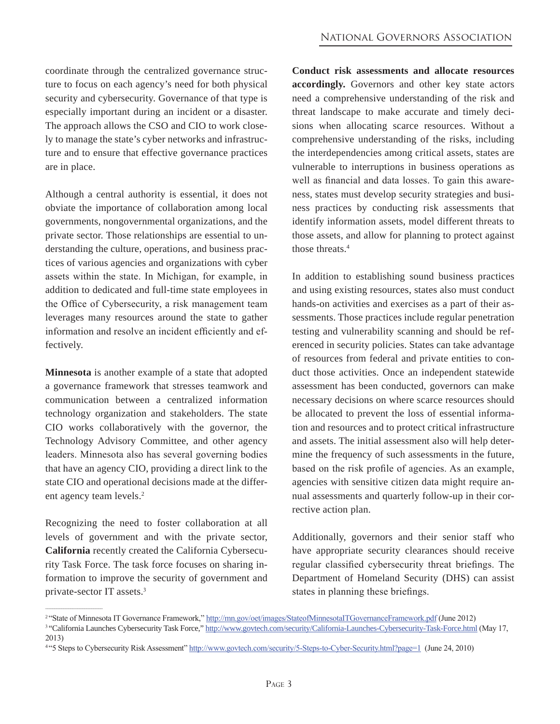coordinate through the centralized governance structure to focus on each agency's need for both physical security and cybersecurity. Governance of that type is especially important during an incident or a disaster. The approach allows the CSO and CIO to work closely to manage the state's cyber networks and infrastructure and to ensure that effective governance practices are in place.

Although a central authority is essential, it does not obviate the importance of collaboration among local governments, nongovernmental organizations, and the private sector. Those relationships are essential to understanding the culture, operations, and business practices of various agencies and organizations with cyber assets within the state. In Michigan, for example, in addition to dedicated and full-time state employees in the Office of Cybersecurity, a risk management team leverages many resources around the state to gather information and resolve an incident efficiently and effectively.

**Minnesota** is another example of a state that adopted a governance framework that stresses teamwork and communication between a centralized information technology organization and stakeholders. The state CIO works collaboratively with the governor, the Technology Advisory Committee, and other agency leaders. Minnesota also has several governing bodies that have an agency CIO, providing a direct link to the state CIO and operational decisions made at the different agency team levels.<sup>2</sup>

Recognizing the need to foster collaboration at all levels of government and with the private sector, **California** recently created the California Cybersecurity Task Force. The task force focuses on sharing information to improve the security of government and private-sector IT assets.

 $\mathcal{L}=\mathcal{L}=\mathcal{L}=\mathcal{L}=\mathcal{L}=\mathcal{L}=\mathcal{L}=\mathcal{L}=\mathcal{L}=\mathcal{L}=\mathcal{L}=\mathcal{L}=\mathcal{L}=\mathcal{L}=\mathcal{L}=\mathcal{L}=\mathcal{L}=\mathcal{L}=\mathcal{L}=\mathcal{L}=\mathcal{L}=\mathcal{L}=\mathcal{L}=\mathcal{L}=\mathcal{L}=\mathcal{L}=\mathcal{L}=\mathcal{L}=\mathcal{L}=\mathcal{L}=\mathcal{L}=\mathcal{L}=\mathcal{L}=\mathcal{L}=\mathcal{L}=\mathcal{L}=\mathcal{$ 

**Conduct risk assessments and allocate resources accordingly.** Governors and other key state actors need a comprehensive understanding of the risk and threat landscape to make accurate and timely decisions when allocating scarce resources. Without a comprehensive understanding of the risks, including the interdependencies among critical assets, states are vulnerable to interruptions in business operations as well as financial and data losses. To gain this awareness, states must develop security strategies and business practices by conducting risk assessments that identify information assets, model different threats to those assets, and allow for planning to protect against those threats.4

In addition to establishing sound business practices and using existing resources, states also must conduct hands-on activities and exercises as a part of their assessments. Those practices include regular penetration testing and vulnerability scanning and should be referenced in security policies. States can take advantage of resources from federal and private entities to conduct those activities. Once an independent statewide assessment has been conducted, governors can make necessary decisions on where scarce resources should be allocated to prevent the loss of essential information and resources and to protect critical infrastructure and assets. The initial assessment also will help determine the frequency of such assessments in the future, based on the risk profile of agencies. As an example, agencies with sensitive citizen data might require annual assessments and quarterly follow-up in their corrective action plan.

Additionally, governors and their senior staff who have appropriate security clearances should receive regular classified cybersecurity threat briefings. The Department of Homeland Security (DHS) can assist states in planning these briefings.

<sup>&</sup>lt;sup>2</sup>"State of Minnesota IT Governance Framework," http://mn.gov/oet/images/StateofMinnesotalTGovernanceFramework.pdf (June 2012)

<sup>&</sup>lt;sup>3</sup>"California Launches Cybersecurity Task Force," http://www.govtech.com/security/California-Launches-Cybersecurity-Task-Force.html (May 17,  $2013)$ 

<sup>&</sup>lt;sup>4</sup>"S Steps to Cybersecurity Risk Assessment" http://www.govtech.com/security/5-Steps-to-Cyber-Security.html?page=1 (June 24, 2010)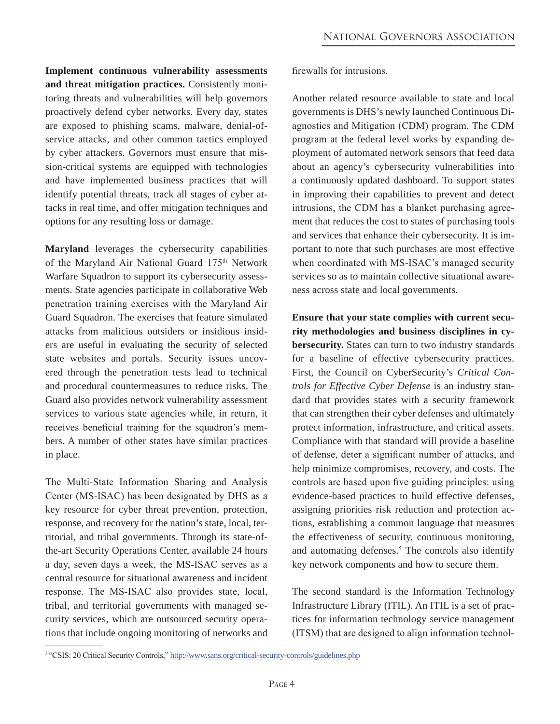**Implement continuous vulnerability assessments and threat mitigation practices.** Consistently monitoring threats and vulnerabilities will help governors proactively defend cyber networks. Every day, states are exposed to phishing scams, malware, denial-ofservice attacks, and other common tactics employed by cyber attackers. Governors must ensure that mission-critical systems are equipped with technologies and have implemented business practices that will identify potential threats, track all stages of cyber attacks in real time, and offer mitigation techniques and options for any resulting loss or damage.

**Maryland** leverages the cybersecurity capabilities of the Marvland Air National Guard  $175<sup>th</sup>$  Network Warfare Squadron to support its cybersecurity assessments. State agencies participate in collaborative Web penetration training exercises with the Maryland Air Guard Squadron. The exercises that feature simulated attacks from malicious outsiders or insidious insiders are useful in evaluating the security of selected state websites and portals. Security issues uncovered through the penetration tests lead to technical and procedural countermeasures to reduce risks. The Guard also provides network vulnerability assessment services to various state agencies while, in return, it receives beneficial training for the squadron's members. A number of other states have similar practices in place.

The Multi-State Information Sharing and Analysis Center (MS-ISAC) has been designated by DHS as a key resource for cyber threat prevention, protection, response, and recovery for the nation's state, local, territorial, and tribal governments. Through its state-ofthe-art Security Operations Center, available 24 hours a day, seven days a week, the MS-ISAC serves as a central resource for situational awareness and incident response. The MS-ISAC also provides state, local, tribal, and territorial governments with managed security services, which are outsourced security operations that include ongoing monitoring of networks and

 $\mathcal{L}=\mathcal{L}=\mathcal{L}=\mathcal{L}=\mathcal{L}=\mathcal{L}=\mathcal{L}=\mathcal{L}=\mathcal{L}=\mathcal{L}=\mathcal{L}=\mathcal{L}=\mathcal{L}=\mathcal{L}=\mathcal{L}=\mathcal{L}=\mathcal{L}=\mathcal{L}=\mathcal{L}=\mathcal{L}=\mathcal{L}=\mathcal{L}=\mathcal{L}=\mathcal{L}=\mathcal{L}=\mathcal{L}=\mathcal{L}=\mathcal{L}=\mathcal{L}=\mathcal{L}=\mathcal{L}=\mathcal{L}=\mathcal{L}=\mathcal{L}=\mathcal{L}=\mathcal{L}=\mathcal{$ 

firewalls for intrusions.

Another related resource available to state and local governments is DHS's newly launched Continuous Diagnostics and Mitigation (CDM) program. The CDM program at the federal level works by expanding deployment of automated network sensors that feed data about an agency's cybersecurity vulnerabilities into a continuously updated dashboard. To support states in improving their capabilities to prevent and detect intrusions, the CDM has a blanket purchasing agreement that reduces the cost to states of purchasing tools and services that enhance their cybersecurity. It is important to note that such purchases are most effective when coordinated with MS-ISAC's managed security services so as to maintain collective situational awareness across state and local governments.

**Ensure that your state complies with current security methodologies and business disciplines in cybersecurity.** States can turn to two industry standards for a baseline of effective cybersecurity practices. First, the Council on CyberSecurity's *Critical Controls for Effective Cyber Defense* is an industry standard that provides states with a security framework that can strengthen their cyber defenses and ultimately protect information, infrastructure, and critical assets. Compliance with that standard will provide a baseline of defense, deter a significant number of attacks, and help minimize compromises, recovery, and costs. The controls are based upon five guiding principles: using evidence-based practices to build effective defenses, assigning priorities risk reduction and protection actions, establishing a common language that measures the effectiveness of security, continuous monitoring, and automating defenses. The controls also identify key network components and how to secure them.

The second standard is the Information Technology Infrastructure Library (ITIL). An ITIL is a set of practices for information technology service management  $(TTSM)$  that are designed to align information technol-

<sup>&</sup>lt;sup>5</sup>"CSIS: 20 Critical Security Controls," http://www.sans.org/critical-security-controls/guidelines.php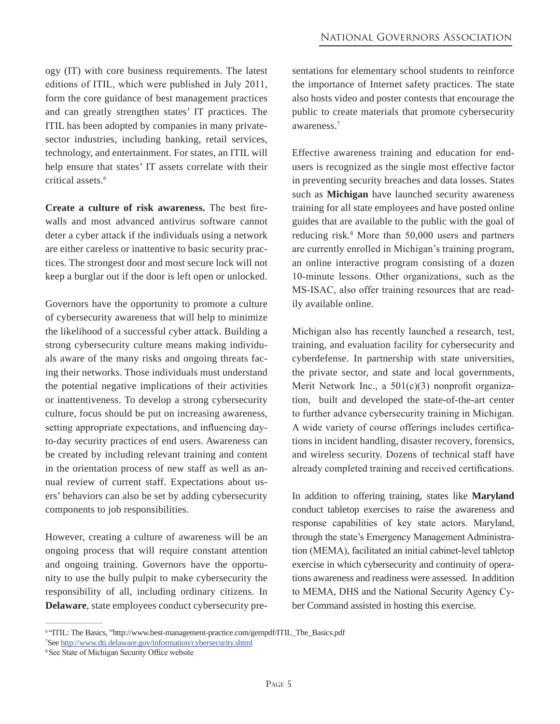ogy (IT) with core business requirements. The latest editions of ITIL, which were published in July 2011, form the core guidance of best management practices and can greatly strengthen states' IT practices. The ITIL has been adopted by companies in many privatesector industries, including banking, retail services, technology, and entertainment. For states, an ITIL will help ensure that states' IT assets correlate with their critical assets.

**Create a culture of risk awareness.** The best firewalls and most advanced antivirus software cannot deter a cyber attack if the individuals using a network are either careless or inattentive to basic security practices. The strongest door and most secure lock will not keep a burglar out if the door is left open or unlocked.

Governors have the opportunity to promote a culture of cybersecurity awareness that will help to minimize the likelihood of a successful cyber attack. Building a strong cybersecurity culture means making individuals aware of the many risks and ongoing threats facing their networks. Those individuals must understand the potential negative implications of their activities or inattentiveness. To develop a strong cybersecurity culture, focus should be put on increasing awareness, setting appropriate expectations, and influencing dayto-day security practices of end users. Awareness can be created by including relevant training and content in the orientation process of new staff as well as annual review of current staff. Expectations about users' behaviors can also be set by adding cybersecurity components to job responsibilities.

However, creating a culture of awareness will be an ongoing process that will require constant attention and ongoing training. Governors have the opportunity to use the bully pulpit to make cybersecurity the responsibility of all, including ordinary citizens. In **Delaware**, state employees conduct cybersecurity presentations for elementary school students to reinforce the importance of Internet safety practices. The state also hosts video and poster contests that encourage the public to create materials that promote cybersecurity awareness.

Effective awareness training and education for endusers is recognized as the single most effective factor in preventing security breaches and data losses. States such as **Michigan** have launched security awareness training for all state employees and have posted online guides that are available to the public with the goal of reducing risk. $8$  More than 50,000 users and partners are currently enrolled in Michigan's training program, an online interactive program consisting of a dozen 10-minute lessons. Other organizations, such as the MS-ISAC, also offer training resources that are readily available online.

Michigan also has recently launched a research, test, training, and evaluation facility for cybersecurity and cyberdefense. In partnership with state universities, the private sector, and state and local governments, Merit Network Inc., a  $501(c)(3)$  nonprofit organization, built and developed the state-of-the-art center to further advance cybersecurity training in Michigan. A wide variety of course offerings includes certifications in incident handling, disaster recovery, forensics, and wireless security. Dozens of technical staff have already completed training and received certifications.

In addition to offering training, states like **Maryland** conduct tabletop exercises to raise the awareness and response capabilities of key state actors. Maryland, through the state's Emergency Management Administration (MEMA), facilitated an initial cabinet-level tabletop exercise in which cybersecurity and continuity of operations awareness and readiness were assessed. In addition to MEMA, DHS and the National Security Agency Cyber Command assisted in hosting this exercise.

 $\_$ 

<sup>&</sup>lt;sup>6</sup>"ITIL: The Basics, "http://www.best-management-practice.com/gempdf/ITIL\_The\_Basics.pdf See http://www.dti.delaware.gov/information/cybersecurity.shtml

<sup>&</sup>lt;sup>8</sup> See State of Michigan Security Office website